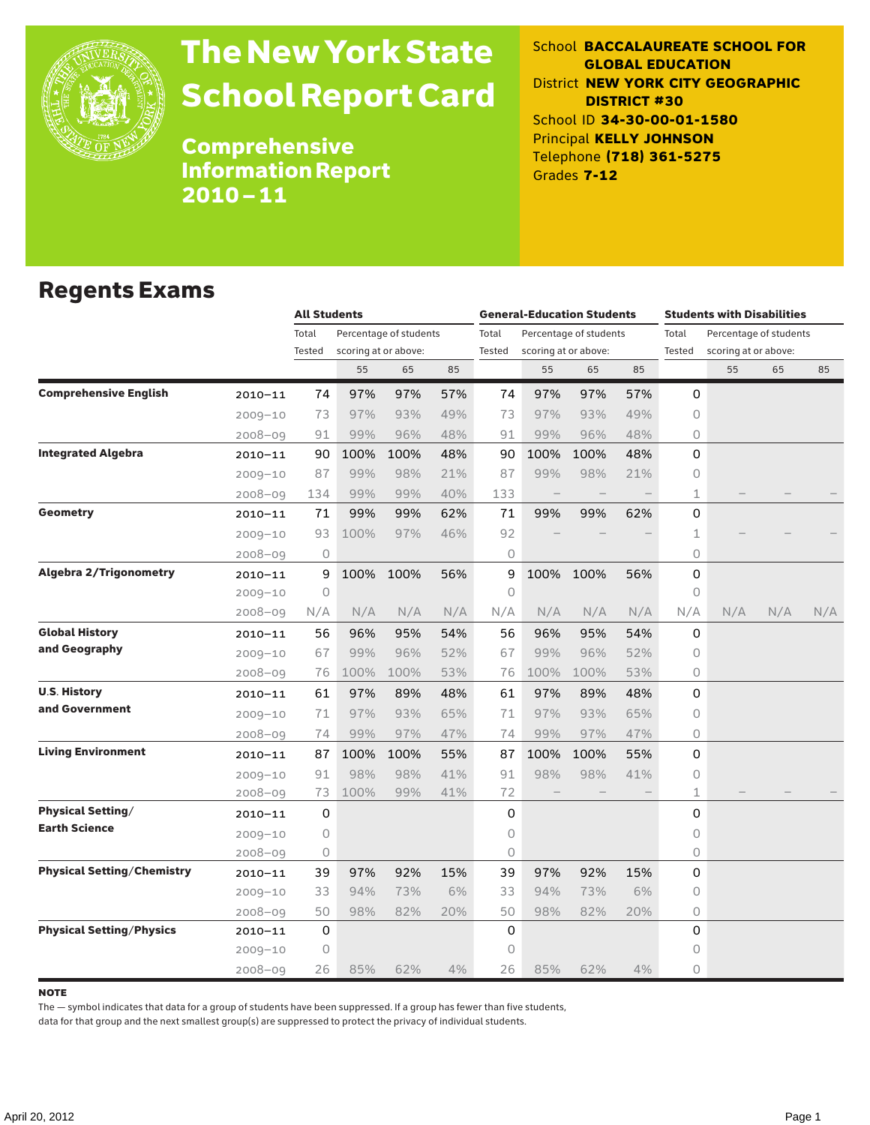

# The New York State School Report Card

School **BACCALAUREATE SCHOOL FOR GLOBAL EDUCATION** District **NEW YORK CITY GEOGRAPHIC DISTRICT #30** School ID **34-30-00-01-1580** Principal **KELLY JOHNSON** Telephone **(718) 361-5275** Grades **7-12**

Comprehensive Information Report 2010–11

### Regents Exams

|                                   |             | <b>All Students</b> |                      |                        |     |        | <b>General-Education Students</b> |                        |     | <b>Students with Disabilities</b> |                        |     |     |
|-----------------------------------|-------------|---------------------|----------------------|------------------------|-----|--------|-----------------------------------|------------------------|-----|-----------------------------------|------------------------|-----|-----|
|                                   |             | Total               |                      | Percentage of students |     | Total  |                                   | Percentage of students |     | Total                             | Percentage of students |     |     |
|                                   |             | Tested              | scoring at or above: |                        |     | Tested |                                   | scoring at or above:   |     | Tested                            | scoring at or above:   |     |     |
|                                   |             |                     | 55                   | 65                     | 85  |        | 55                                | 65                     | 85  |                                   | 55                     | 65  | 85  |
| <b>Comprehensive English</b>      | $2010 - 11$ | 74                  | 97%                  | 97%                    | 57% | 74     | 97%                               | 97%                    | 57% | 0                                 |                        |     |     |
|                                   | $2009 - 10$ | 73                  | 97%                  | 93%                    | 49% | 73     | 97%                               | 93%                    | 49% | 0                                 |                        |     |     |
|                                   | $2008 - 09$ | 91                  | 99%                  | 96%                    | 48% | 91     | 99%                               | 96%                    | 48% | 0                                 |                        |     |     |
| <b>Integrated Algebra</b>         | $2010 - 11$ | 90                  | 100%                 | 100%                   | 48% | 90     | 100%                              | 100%                   | 48% | 0                                 |                        |     |     |
|                                   | $2009 - 10$ | 87                  | 99%                  | 98%                    | 21% | 87     | 99%                               | 98%                    | 21% | 0                                 |                        |     |     |
|                                   | $2008 - 09$ | 134                 | 99%                  | 99%                    | 40% | 133    |                                   | $\qquad \qquad -$      |     | 1                                 |                        |     |     |
| <b>Geometry</b>                   | $2010 - 11$ | 71                  | 99%                  | 99%                    | 62% | 71     | 99%                               | 99%                    | 62% | 0                                 |                        |     |     |
|                                   | $2009 - 10$ | 93                  | 100%                 | 97%                    | 46% | 92     |                                   |                        |     | 1                                 |                        |     |     |
|                                   | $2008 - 09$ | 0                   |                      |                        |     | 0      |                                   |                        |     | 0                                 |                        |     |     |
| <b>Algebra 2/Trigonometry</b>     | $2010 - 11$ | 9                   | 100%                 | 100%                   | 56% | 9      | 100%                              | 100%                   | 56% | 0                                 |                        |     |     |
|                                   | $2009 - 10$ | 0                   |                      |                        |     | 0      |                                   |                        |     | 0                                 |                        |     |     |
|                                   | $2008 - 09$ | N/A                 | N/A                  | N/A                    | N/A | N/A    | N/A                               | N/A                    | N/A | N/A                               | N/A                    | N/A | N/A |
| <b>Global History</b>             | $2010 - 11$ | 56                  | 96%                  | 95%                    | 54% | 56     | 96%                               | 95%                    | 54% | 0                                 |                        |     |     |
| and Geography                     | $2009 - 10$ | 67                  | 99%                  | 96%                    | 52% | 67     | 99%                               | 96%                    | 52% | 0                                 |                        |     |     |
|                                   | $2008 - 09$ | 76                  | 100%                 | 100%                   | 53% | 76     | 100%                              | 100%                   | 53% | 0                                 |                        |     |     |
| <b>U.S. History</b>               | $2010 - 11$ | 61                  | 97%                  | 89%                    | 48% | 61     | 97%                               | 89%                    | 48% | 0                                 |                        |     |     |
| and Government                    | $2009 - 10$ | 71                  | 97%                  | 93%                    | 65% | 71     | 97%                               | 93%                    | 65% | 0                                 |                        |     |     |
|                                   | $2008 - 09$ | 74                  | 99%                  | 97%                    | 47% | 74     | 99%                               | 97%                    | 47% | 0                                 |                        |     |     |
| <b>Living Environment</b>         | $2010 - 11$ | 87                  | 100%                 | 100%                   | 55% | 87     | 100%                              | 100%                   | 55% | 0                                 |                        |     |     |
|                                   | $2009 - 10$ | 91                  | 98%                  | 98%                    | 41% | 91     | 98%                               | 98%                    | 41% | 0                                 |                        |     |     |
|                                   | 2008-09     | 73                  | 100%                 | 99%                    | 41% | 72     |                                   |                        |     | 1                                 |                        |     |     |
| <b>Physical Setting/</b>          | $2010 - 11$ | 0                   |                      |                        |     | 0      |                                   |                        |     | 0                                 |                        |     |     |
| <b>Earth Science</b>              | $2009 - 10$ | 0                   |                      |                        |     | 0      |                                   |                        |     | 0                                 |                        |     |     |
|                                   | $2008 - 09$ | 0                   |                      |                        |     | 0      |                                   |                        |     | 0                                 |                        |     |     |
| <b>Physical Setting/Chemistry</b> | $2010 - 11$ | 39                  | 97%                  | 92%                    | 15% | 39     | 97%                               | 92%                    | 15% | 0                                 |                        |     |     |
|                                   | $2009 - 10$ | 33                  | 94%                  | 73%                    | 6%  | 33     | 94%                               | 73%                    | 6%  | 0                                 |                        |     |     |
|                                   | $2008 - 09$ | 50                  | 98%                  | 82%                    | 20% | 50     | 98%                               | 82%                    | 20% | 0                                 |                        |     |     |
| <b>Physical Setting/Physics</b>   | $2010 - 11$ | 0                   |                      |                        |     | 0      |                                   |                        |     | 0                                 |                        |     |     |
|                                   | $2009 - 10$ | 0                   |                      |                        |     | 0      |                                   |                        |     | 0                                 |                        |     |     |
|                                   | $2008 - 09$ | 26                  | 85%                  | 62%                    | 4%  | 26     | 85%                               | 62%                    | 4%  | 0                                 |                        |     |     |

#### **NOTE**

The — symbol indicates that data for a group of students have been suppressed. If a group has fewer than five students,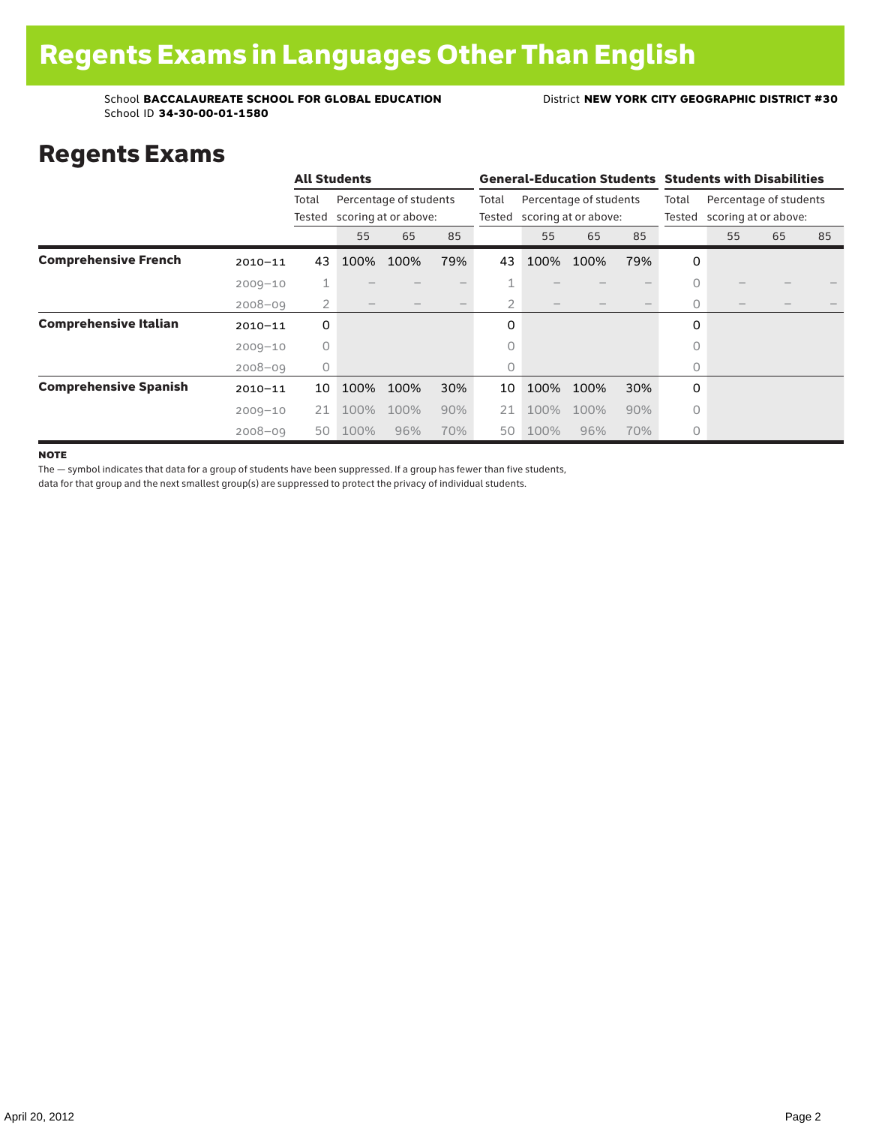### Regents Exams

|                              |             |          | <b>All Students</b> |                                                       |     |                 | <b>General-Education Students Students with Disabilities</b> |      |     |                 |                                                |    |    |  |
|------------------------------|-------------|----------|---------------------|-------------------------------------------------------|-----|-----------------|--------------------------------------------------------------|------|-----|-----------------|------------------------------------------------|----|----|--|
|                              |             | Total    |                     | Percentage of students<br>Tested scoring at or above: |     | Total<br>Tested | Percentage of students<br>scoring at or above:               |      |     | Total<br>Tested | Percentage of students<br>scoring at or above: |    |    |  |
|                              |             |          | 55                  | 65                                                    | 85  |                 | 55                                                           | 65   | 85  |                 | 55                                             | 65 | 85 |  |
| <b>Comprehensive French</b>  | $2010 - 11$ | 43       | 100%                | 100%                                                  | 79% | 43              | 100%                                                         | 100% | 79% | 0               |                                                |    |    |  |
|                              | $2009 - 10$ | Τ.       |                     |                                                       |     | 4<br>T          |                                                              |      |     | 0               |                                                |    |    |  |
|                              | $2008 - 09$ | 2        |                     |                                                       |     | 2               |                                                              |      |     | $\Omega$        |                                                |    |    |  |
| <b>Comprehensive Italian</b> | $2010 - 11$ | 0        |                     |                                                       |     | 0               |                                                              |      |     | 0               |                                                |    |    |  |
|                              | $2009 - 10$ | $\Omega$ |                     |                                                       |     | 0               |                                                              |      |     | $\bigcap$       |                                                |    |    |  |
|                              | $2008 - 09$ | 0        |                     |                                                       |     | 0               |                                                              |      |     | 0               |                                                |    |    |  |
| <b>Comprehensive Spanish</b> | $2010 - 11$ | 10       | 100%                | 100%                                                  | 30% | 10              | 100%                                                         | 100% | 30% | 0               |                                                |    |    |  |
|                              | $2009 - 10$ | 21       | 100%                | 100%                                                  | 90% | 21              | 100%                                                         | 100% | 90% | $\Omega$        |                                                |    |    |  |
|                              | $2008 - 09$ | 50       | 100%                | 96%                                                   | 70% | 50              | 100%                                                         | 96%  | 70% | 0               |                                                |    |    |  |

**NOTE** 

The — symbol indicates that data for a group of students have been suppressed. If a group has fewer than five students,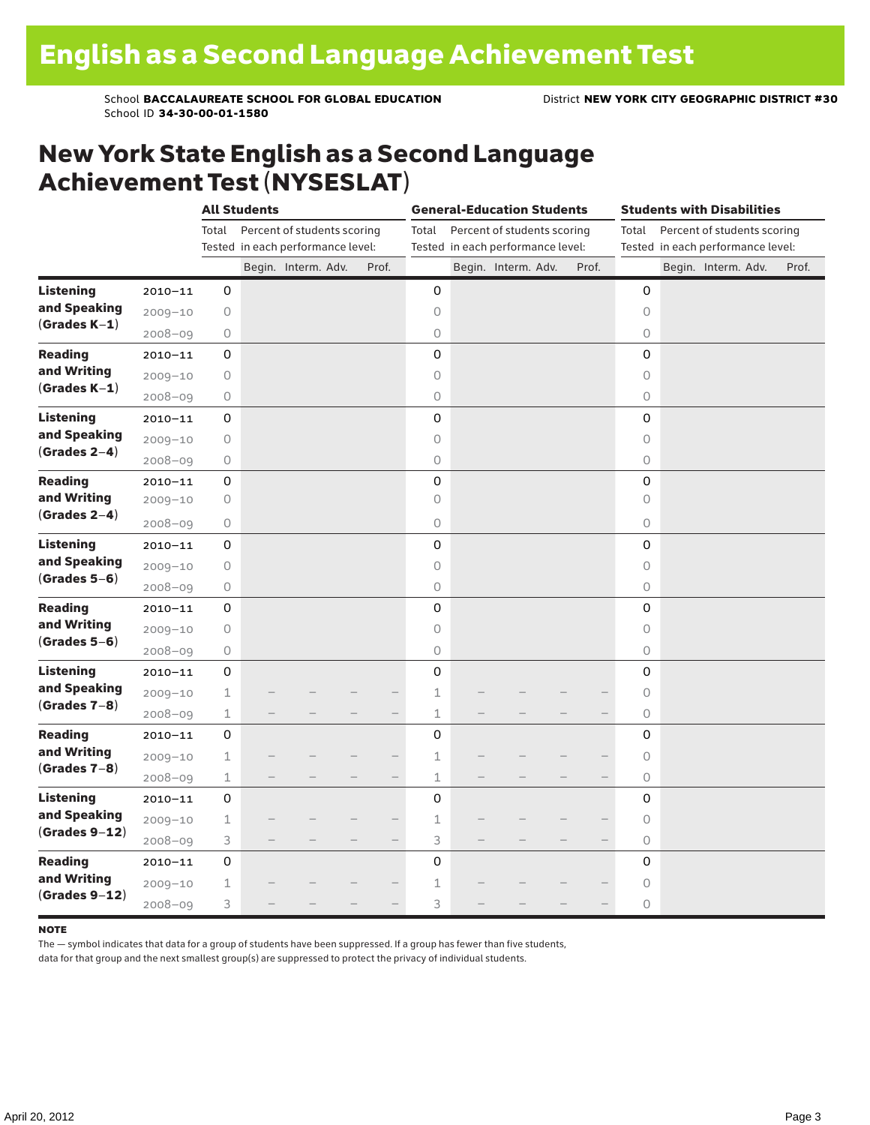### New York State English as a Second Language Achievement Test (NYSESLAT)

|                  |             | <b>All Students</b> |  |                                   |  |       | <b>General-Education Students</b> |  |                                   |  |       | <b>Students with Disabilities</b> |  |                     |                                   |       |
|------------------|-------------|---------------------|--|-----------------------------------|--|-------|-----------------------------------|--|-----------------------------------|--|-------|-----------------------------------|--|---------------------|-----------------------------------|-------|
|                  |             | Total               |  | Percent of students scoring       |  |       | Total                             |  | Percent of students scoring       |  |       | Total                             |  |                     | Percent of students scoring       |       |
|                  |             |                     |  | Tested in each performance level: |  |       |                                   |  | Tested in each performance level: |  |       |                                   |  |                     | Tested in each performance level: |       |
|                  |             |                     |  | Begin. Interm. Adv.               |  | Prof. |                                   |  | Begin. Interm. Adv.               |  | Prof. |                                   |  | Begin. Interm. Adv. |                                   | Prof. |
| <b>Listening</b> | $2010 - 11$ | 0                   |  |                                   |  |       | 0                                 |  |                                   |  |       | 0                                 |  |                     |                                   |       |
| and Speaking     | $2009 - 10$ | 0                   |  |                                   |  |       | $\circ$                           |  |                                   |  |       | $\circ$                           |  |                     |                                   |       |
| $(Grades K-1)$   | $2008 - 09$ | 0                   |  |                                   |  |       | 0                                 |  |                                   |  |       | 0                                 |  |                     |                                   |       |
| <b>Reading</b>   | $2010 - 11$ | 0                   |  |                                   |  |       | 0                                 |  |                                   |  |       | 0                                 |  |                     |                                   |       |
| and Writing      | $2009 - 10$ | 0                   |  |                                   |  |       | 0                                 |  |                                   |  |       | $\circ$                           |  |                     |                                   |       |
| $(Grades K-1)$   | $2008 - 09$ | 0                   |  |                                   |  |       | 0                                 |  |                                   |  |       | $\mathsf O$                       |  |                     |                                   |       |
| <b>Listening</b> | $2010 - 11$ | $\mathsf{O}\xspace$ |  |                                   |  |       | 0                                 |  |                                   |  |       | $\mathbf 0$                       |  |                     |                                   |       |
| and Speaking     | $2009 - 10$ | 0                   |  |                                   |  |       | 0                                 |  |                                   |  |       | $\circ$                           |  |                     |                                   |       |
| $(Grades 2-4)$   | $2008 - 09$ | 0                   |  |                                   |  |       | 0                                 |  |                                   |  |       | $\bigcirc$                        |  |                     |                                   |       |
| <b>Reading</b>   | $2010 - 11$ | 0                   |  |                                   |  |       | 0                                 |  |                                   |  |       | 0                                 |  |                     |                                   |       |
| and Writing      | $2009 - 10$ | 0                   |  |                                   |  |       | 0                                 |  |                                   |  |       | $\circ$                           |  |                     |                                   |       |
| $(Grades 2-4)$   | $2008 - 09$ | 0                   |  |                                   |  |       | $\circ$                           |  |                                   |  |       | $\circ$                           |  |                     |                                   |       |
| <b>Listening</b> | $2010 - 11$ | 0                   |  |                                   |  |       | 0                                 |  |                                   |  |       | $\mathbf 0$                       |  |                     |                                   |       |
| and Speaking     | $2009 - 10$ | 0                   |  |                                   |  |       | 0                                 |  |                                   |  |       | $\circ$                           |  |                     |                                   |       |
| $(Grades 5-6)$   | $2008 - 09$ | 0                   |  |                                   |  |       | 0                                 |  |                                   |  |       | $\mathsf O$                       |  |                     |                                   |       |
| <b>Reading</b>   | $2010 - 11$ | 0                   |  |                                   |  |       | 0                                 |  |                                   |  |       | $\mathbf 0$                       |  |                     |                                   |       |
| and Writing      | $2009 - 10$ | 0                   |  |                                   |  |       | 0                                 |  |                                   |  |       | $\circ$                           |  |                     |                                   |       |
| $(Grades 5-6)$   | $2008 - 09$ | $\bigcirc$          |  |                                   |  |       | 0                                 |  |                                   |  |       | $\circ$                           |  |                     |                                   |       |
| <b>Listening</b> | $2010 - 11$ | 0                   |  |                                   |  |       | 0                                 |  |                                   |  |       | 0                                 |  |                     |                                   |       |
| and Speaking     | $2009 - 10$ | 1                   |  |                                   |  |       | $1\,$                             |  |                                   |  |       | $\circ$                           |  |                     |                                   |       |
| $(Grades 7-8)$   | $2008 - 09$ | 1                   |  |                                   |  |       | $\mathbf{1}$                      |  |                                   |  |       | $\circ$                           |  |                     |                                   |       |
| <b>Reading</b>   | $2010 - 11$ | 0                   |  |                                   |  |       | 0                                 |  |                                   |  |       | 0                                 |  |                     |                                   |       |
| and Writing      | $2009 - 10$ | 1                   |  |                                   |  |       | $\mathbf 1$                       |  |                                   |  |       | $\circ$                           |  |                     |                                   |       |
| $(Grades 7-8)$   | $2008 - 09$ | $\mathbbm{1}$       |  |                                   |  |       | $\mathbf 1$                       |  |                                   |  |       | $\circ$                           |  |                     |                                   |       |
| <b>Listening</b> | $2010 - 11$ | 0                   |  |                                   |  |       | 0                                 |  |                                   |  |       | 0                                 |  |                     |                                   |       |
| and Speaking     | $2009 - 10$ | 1                   |  |                                   |  |       | $1\,$                             |  |                                   |  |       | 0                                 |  |                     |                                   |       |
| $(Grades 9-12)$  | $2008 - 09$ | 3                   |  |                                   |  |       | 3                                 |  |                                   |  |       | $\circlearrowright$               |  |                     |                                   |       |
| <b>Reading</b>   | $2010 - 11$ | 0                   |  |                                   |  |       | 0                                 |  |                                   |  |       | 0                                 |  |                     |                                   |       |
| and Writing      | $2009 - 10$ | $\mathbf 1$         |  |                                   |  |       | $\mathbf 1$                       |  |                                   |  |       | $\circ$                           |  |                     |                                   |       |
| $(Grades 9-12)$  | $2008 - 09$ | 3                   |  |                                   |  |       | 3                                 |  |                                   |  |       | $\circ$                           |  |                     |                                   |       |

#### note

The — symbol indicates that data for a group of students have been suppressed. If a group has fewer than five students,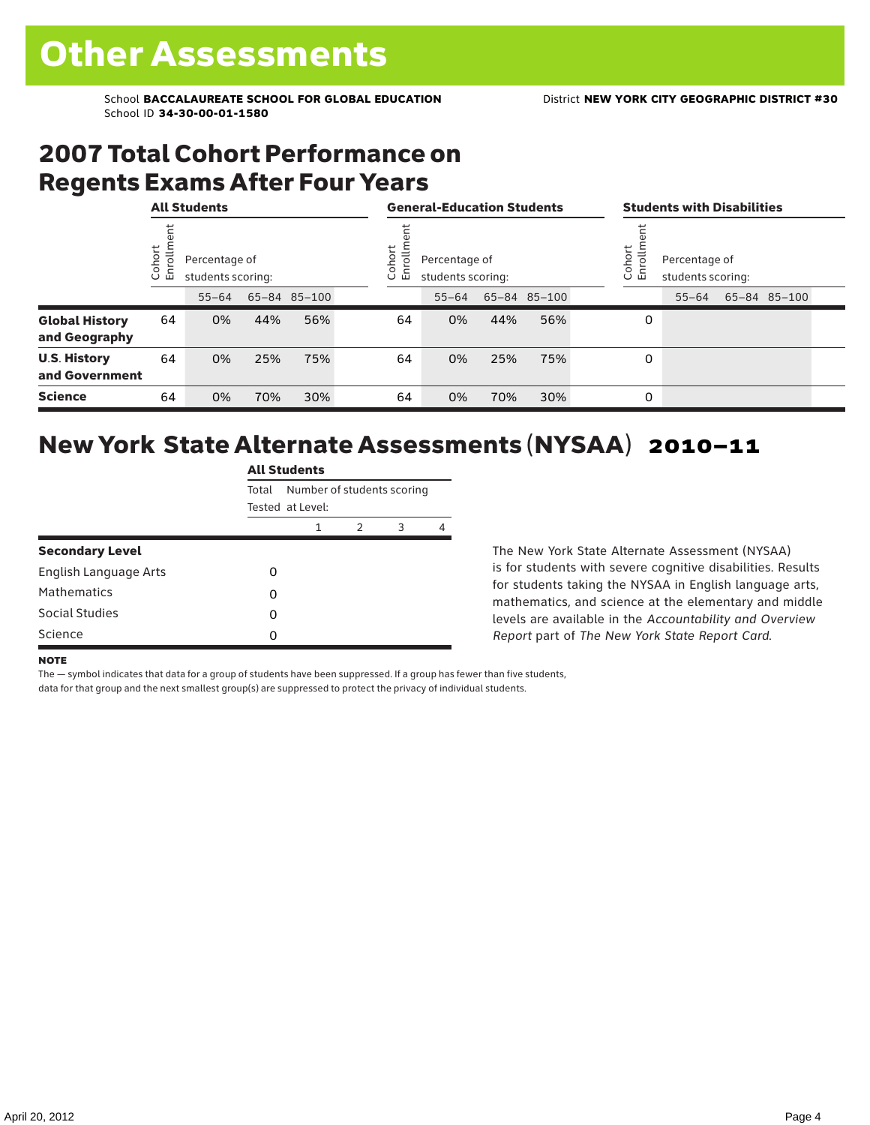### 2007 Total Cohort Performance on Regents Exams After Four Years

|                                        |                    | <b>All Students</b> |                   |              |  | <b>General-Education Students</b> |                                                                     |     |              |  | <b>Students with Disabilities</b> |                                                            |  |              |  |
|----------------------------------------|--------------------|---------------------|-------------------|--------------|--|-----------------------------------|---------------------------------------------------------------------|-----|--------------|--|-----------------------------------|------------------------------------------------------------|--|--------------|--|
|                                        | ohort<br>o,<br>ご こ | Percentage of       | students scoring: |              |  |                                   | ohort<br>rolln<br>Percentage of<br>모<br>students scoring:<br>$\cup$ |     |              |  |                                   | Cohort<br>rolln<br>Percentage of<br>훕<br>students scoring: |  |              |  |
|                                        |                    | $55 - 64$           |                   | 65-84 85-100 |  |                                   | $55 - 64$                                                           |     | 65-84 85-100 |  |                                   | $55 - 64$                                                  |  | 65-84 85-100 |  |
| <b>Global History</b><br>and Geography | 64                 | 0%                  | 44%               | 56%          |  | 64                                | 0%                                                                  | 44% | 56%          |  | 0                                 |                                                            |  |              |  |
| <b>U.S. History</b><br>and Government  | 64                 | 0%                  | 25%               | 75%          |  | 64                                | 0%                                                                  | 25% | 75%          |  | 0                                 |                                                            |  |              |  |
| <b>Science</b>                         | 64                 | 0%                  | 70%               | 30%          |  | 64                                | 0%                                                                  | 70% | 30%          |  | 0                                 |                                                            |  |              |  |

## New York State Alternate Assessments (NYSAA) 2010–11

|                        | <b>All Students</b> |                            |   |   |   |  |  |  |  |  |  |
|------------------------|---------------------|----------------------------|---|---|---|--|--|--|--|--|--|
|                        | Total               | Number of students scoring |   |   |   |  |  |  |  |  |  |
|                        |                     | Tested at Level:           |   |   |   |  |  |  |  |  |  |
|                        |                     | 1                          | 2 | 3 | 4 |  |  |  |  |  |  |
| <b>Secondary Level</b> |                     |                            |   |   |   |  |  |  |  |  |  |
| English Language Arts  | Ω                   |                            |   |   |   |  |  |  |  |  |  |
| <b>Mathematics</b>     | 0                   |                            |   |   |   |  |  |  |  |  |  |
| Social Studies         | 0                   |                            |   |   |   |  |  |  |  |  |  |
| Science                | 0                   |                            |   |   |   |  |  |  |  |  |  |

The New York State Alternate Assessment (NYSAA) is for students with severe cognitive disabilities. Results for students taking the NYSAA in English language arts, mathematics, and science at the elementary and middle levels are available in the *Accountability and Overview Report* part of *The New York State Report Card*.

#### **NOTE**

The — symbol indicates that data for a group of students have been suppressed. If a group has fewer than five students,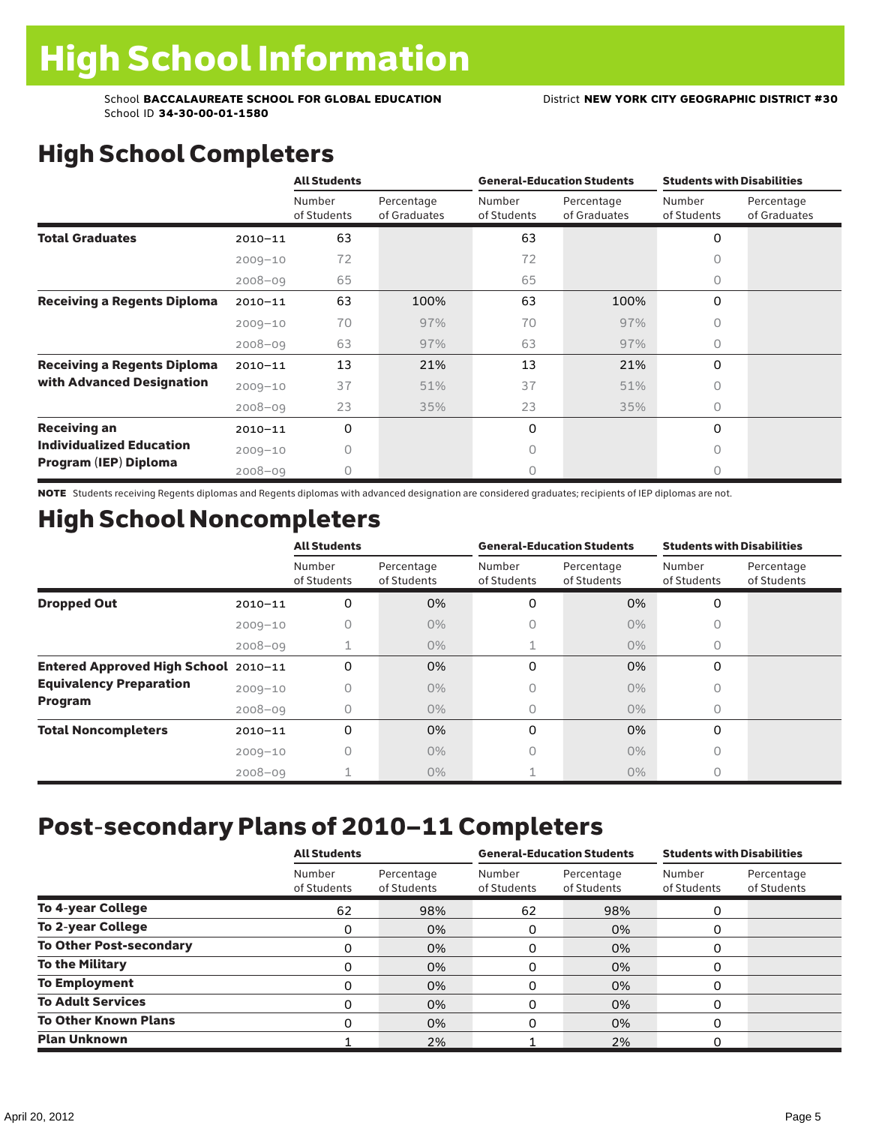# High School Completers

|                                    |             | <b>All Students</b>   |                            |                       | <b>General-Education Students</b> | <b>Students with Disabilities</b> |                            |  |
|------------------------------------|-------------|-----------------------|----------------------------|-----------------------|-----------------------------------|-----------------------------------|----------------------------|--|
|                                    |             | Number<br>of Students | Percentage<br>of Graduates | Number<br>of Students | Percentage<br>of Graduates        | Number<br>of Students             | Percentage<br>of Graduates |  |
| <b>Total Graduates</b>             | $2010 - 11$ | 63                    |                            | 63                    |                                   | 0                                 |                            |  |
|                                    | $2009 - 10$ | 72                    |                            | 72                    |                                   | U                                 |                            |  |
|                                    | $2008 - 09$ | 65                    |                            | 65                    |                                   | 0                                 |                            |  |
| <b>Receiving a Regents Diploma</b> | $2010 - 11$ | 63                    | 100%                       | 63                    | 100%                              | 0                                 |                            |  |
|                                    | $2009 - 10$ | 70                    | 97%                        | 70                    | 97%                               | $\bigcap$                         |                            |  |
|                                    | $2008 - 09$ | 63                    | 97%                        | 63                    | 97%                               | $\bigcap$                         |                            |  |
| <b>Receiving a Regents Diploma</b> | $2010 - 11$ | 13                    | 21%                        | 13                    | 21%                               | 0                                 |                            |  |
| with Advanced Designation          | $2009 - 10$ | 37                    | 51%                        | 37                    | 51%                               | 0                                 |                            |  |
|                                    | $2008 - 09$ | 23                    | 35%                        | 23                    | 35%                               | $\bigcap$                         |                            |  |
| <b>Receiving an</b>                | $2010 - 11$ | 0                     |                            | 0                     |                                   | $\Omega$                          |                            |  |
| <b>Individualized Education</b>    | $2009 - 10$ | Ω                     |                            | $\bigcap$             |                                   | $\bigcap$                         |                            |  |
| Program (IEP) Diploma              | $2008 - 09$ |                       |                            | 0                     |                                   | U                                 |                            |  |

NOTE Students receiving Regents diplomas and Regents diplomas with advanced designation are considered graduates; recipients of IEP diplomas are not.

## High School Noncompleters

|                                      |             | <b>All Students</b>   |                           | <b>General-Education Students</b> |                           | <b>Students with Disabilities</b> |                           |  |
|--------------------------------------|-------------|-----------------------|---------------------------|-----------------------------------|---------------------------|-----------------------------------|---------------------------|--|
|                                      |             | Number<br>of Students | Percentage<br>of Students | Number<br>of Students             | Percentage<br>of Students | Number<br>of Students             | Percentage<br>of Students |  |
| <b>Dropped Out</b>                   | $2010 - 11$ | 0                     | 0%                        | 0                                 | 0%                        | $\Omega$                          |                           |  |
|                                      | $2009 - 10$ | Ω                     | $0\%$                     | 0                                 | $0\%$                     | <sup>n</sup>                      |                           |  |
|                                      | $2008 - 09$ |                       | $0\%$                     |                                   | $0\%$                     | 0                                 |                           |  |
| Entered Approved High School 2010-11 |             | 0                     | 0%                        | 0                                 | 0%                        | $\Omega$                          |                           |  |
| <b>Equivalency Preparation</b>       | $2009 - 10$ | 0                     | $0\%$                     | 0                                 | $0\%$                     | 0                                 |                           |  |
| Program                              | $2008 - 09$ | 0                     | $0\%$                     | 0                                 | $0\%$                     | $\bigcap$                         |                           |  |
| <b>Total Noncompleters</b>           | $2010 - 11$ | 0                     | 0%                        | 0                                 | 0%                        | $\Omega$                          |                           |  |
|                                      | $2009 - 10$ | 0                     | $0\%$                     | 0                                 | $0\%$                     | 0                                 |                           |  |
|                                      | $2008 - 09$ |                       | $0\%$                     |                                   | $0\%$                     | 0                                 |                           |  |

# Post-secondary Plans of 2010–11 Completers

|                                | <b>All Students</b>   |                           |                       | <b>General-Education Students</b> | <b>Students with Disabilities</b> |                           |  |
|--------------------------------|-----------------------|---------------------------|-----------------------|-----------------------------------|-----------------------------------|---------------------------|--|
|                                | Number<br>of Students | Percentage<br>of Students | Number<br>of Students | Percentage<br>of Students         | Number<br>of Students             | Percentage<br>of Students |  |
| <b>To 4-year College</b>       | 62                    | 98%                       | 62                    | 98%                               | 0                                 |                           |  |
| <b>To 2-year College</b>       | 0                     | 0%                        | 0                     | 0%                                |                                   |                           |  |
| <b>To Other Post-secondary</b> | 0                     | 0%                        | 0                     | 0%                                | $\Omega$                          |                           |  |
| To the Military                | 0                     | 0%                        | 0                     | 0%                                |                                   |                           |  |
| <b>To Employment</b>           | 0                     | 0%                        | 0                     | 0%                                |                                   |                           |  |
| <b>To Adult Services</b>       | $\Omega$              | 0%                        | 0                     | 0%                                |                                   |                           |  |
| <b>To Other Known Plans</b>    | $\Omega$              | 0%                        | O                     | 0%                                | $\Omega$                          |                           |  |
| <b>Plan Unknown</b>            |                       | 2%                        |                       | 2%                                |                                   |                           |  |